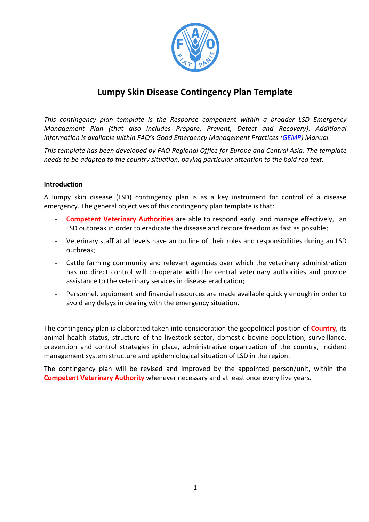

# **Lumpy Skin Disease Contingency Plan Template**

*This contingency plan template is the Response component within a broader LSD Emergency Management Plan (that also includes Prepare, Prevent, Detect and Recovery). Additional information is available within FAO's Good Emergency Management Practices ([GEMP\)](http://www.fao.org/3/a-ba0137e.pdf) Manual.* 

*This template has been developed by FAO Regional Office for Europe and Central Asia. The template needs to be adapted to the country situation, paying particular attention to the bold red text.*

### **Introduction**

A lumpy skin disease (LSD) contingency plan is as a key instrument for control of a disease emergency. The general objectives of this contingency plan template is that:

- **Competent Veterinary Authorities** are able to respond early and manage effectively, an LSD outbreak in order to eradicate the disease and restore freedom as fast as possible;
- Veterinary staff at all levels have an outline of their roles and responsibilities during an LSD outbreak;
- Cattle farming community and relevant agencies over which the veterinary administration has no direct control will co-operate with the central veterinary authorities and provide assistance to the veterinary services in disease eradication;
- Personnel, equipment and financial resources are made available quickly enough in order to avoid any delays in dealing with the emergency situation.

The contingency plan is elaborated taken into consideration the geopolitical position of **Country**, its animal health status, structure of the livestock sector, domestic bovine population, surveillance, prevention and control strategies in place, administrative organization of the country, incident management system structure and epidemiological situation of LSD in the region.

The contingency plan will be revised and improved by the appointed person/unit, within the **Competent Veterinary Authority** whenever necessary and at least once every five years.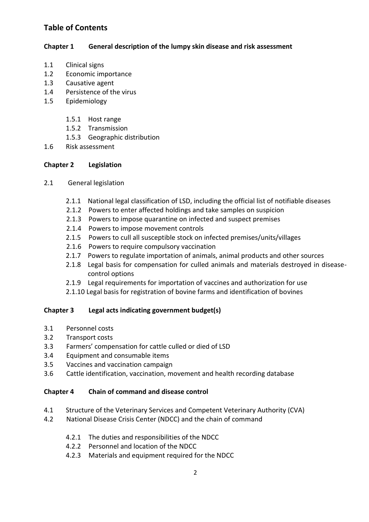## **Table of Contents**

## **Chapter 1 General description of the lumpy skin disease and risk assessment**

- 1.1 Clinical signs
- 1.2 Economic importance
- 1.3 Causative agent
- 1.4 Persistence of the virus
- 1.5 Epidemiology
	- 1.5.1 Host range
	- 1.5.2 Transmission
	- 1.5.3 Geographic distribution
- 1.6 Risk assessment

## **Chapter 2 Legislation**

- 2.1 General legislation
	- 2.1.1 National legal classification of LSD, including the official list of notifiable diseases
	- 2.1.2 Powers to enter affected holdings and take samples on suspicion
	- 2.1.3 Powers to impose quarantine on infected and suspect premises
	- 2.1.4 Powers to impose movement controls
	- 2.1.5 Powers to cull all susceptible stock on infected premises/units/villages
	- 2.1.6 Powers to require compulsory vaccination
	- 2.1.7 Powers to regulate importation of animals, animal products and other sources
	- 2.1.8 Legal basis for compensation for culled animals and materials destroyed in diseasecontrol options
	- 2.1.9 Legal requirements for importation of vaccines and authorization for use
	- 2.1.10 Legal basis for registration of bovine farms and identification of bovines

## **Chapter 3 Legal acts indicating government budget(s)**

- 3.1 Personnel costs
- 3.2 Transport costs
- 3.3 Farmers' compensation for cattle culled or died of LSD
- 3.4 Equipment and consumable items
- 3.5 Vaccines and vaccination campaign
- 3.6 Cattle identification, vaccination, movement and health recording database

## **Chapter 4 Chain of command and disease control**

- 4.1 Structure of the Veterinary Services and Competent Veterinary Authority (CVA)
- 4.2 National Disease Crisis Center (NDCC) and the chain of command
	- 4.2.1 The duties and responsibilities of the NDCC
	- 4.2.2 Personnel and location of the NDCC
	- 4.2.3 Materials and equipment required for the NDCC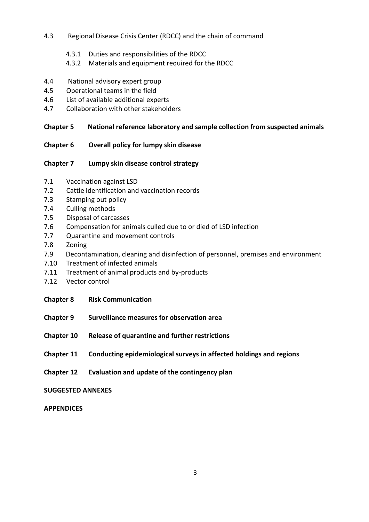## 4.3 Regional Disease Crisis Center (RDCC) and the chain of command

- 4.3.1 Duties and responsibilities of the RDCC
- 4.3.2 Materials and equipment required for the RDCC
- 4.4 National advisory expert group
- 4.5 Operational teams in the field
- 4.6 List of available additional experts
- 4.7 Collaboration with other stakeholders

## **Chapter 5 National reference laboratory and sample collection from suspected animals**

### **Chapter 6 Overall policy for lumpy skin disease**

### **Chapter 7 Lumpy skin disease control strategy**

- 7.1 Vaccination against LSD
- 7.2 Cattle identification and vaccination records
- 7.3 Stamping out policy
- 7.4 Culling methods
- 7.5 Disposal of carcasses
- 7.6 Compensation for animals culled due to or died of LSD infection
- 7.7 Quarantine and movement controls
- 7.8 Zoning
- 7.9 Decontamination, cleaning and disinfection of personnel, premises and environment
- 7.10 Treatment of infected animals
- 7.11 Treatment of animal products and by-products
- 7.12 Vector control
- **Chapter 8 Risk Communication**
- **Chapter 9 Surveillance measures for observation area**
- **Chapter 10 Release of quarantine and further restrictions**
- **Chapter 11 Conducting epidemiological surveys in affected holdings and regions**
- **Chapter 12 Evaluation and update of the contingency plan**

### **SUGGESTED ANNEXES**

#### **APPENDICES**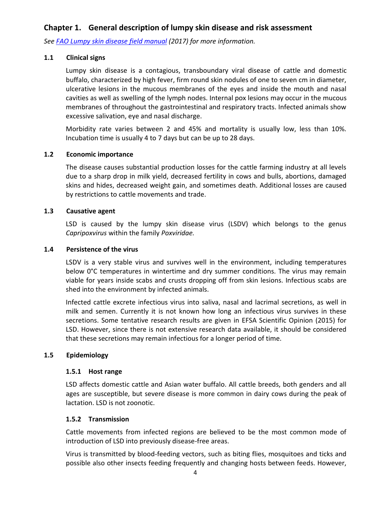## **Chapter 1. General description of lumpy skin disease and risk assessment**

*See [FAO Lumpy skin disease field manual](http://www.fao.org/documents/card/en/c/1fcf63b0-80e9-4f8e-825f-10ea6e998479/) (2017) for more information.*

#### **1.1 Clinical signs**

Lumpy skin disease is a contagious, transboundary viral disease of cattle and domestic buffalo, characterized by high fever, firm round skin nodules of one to seven cm in diameter, ulcerative lesions in the mucous membranes of the eyes and inside the mouth and nasal cavities as well as swelling of the lymph nodes. Internal pox lesions may occur in the mucous membranes of throughout the gastrointestinal and respiratory tracts. Infected animals show excessive salivation, eye and nasal discharge.

Morbidity rate varies between 2 and 45% and mortality is usually low, less than 10%. Incubation time is usually 4 to 7 days but can be up to 28 days.

#### **1.2 Economic importance**

The disease causes substantial production losses for the cattle farming industry at all levels due to a sharp drop in milk yield, decreased fertility in cows and bulls, abortions, damaged skins and hides, decreased weight gain, and sometimes death. Additional losses are caused by restrictions to cattle movements and trade.

#### **1.3 Causative agent**

LSD is caused by the lumpy skin disease virus (LSDV) which belongs to the genus *Capripoxvirus* within the family *Poxviridae.*

#### **1.4 Persistence of the virus**

LSDV is a very stable virus and survives well in the environment, including temperatures below 0°C temperatures in wintertime and dry summer conditions. The virus may remain viable for years inside scabs and crusts dropping off from skin lesions. Infectious scabs are shed into the environment by infected animals.

Infected cattle excrete infectious virus into saliva, nasal and lacrimal secretions, as well in milk and semen. Currently it is not known how long an infectious virus survives in these secretions. Some tentative research results are given in EFSA Scientific Opinion (2015) for LSD. However, since there is not extensive research data available, it should be considered that these secretions may remain infectious for a longer period of time.

#### **1.5 Epidemiology**

#### **1.5.1 Host range**

LSD affects domestic cattle and Asian water buffalo. All cattle breeds, both genders and all ages are susceptible, but severe disease is more common in dairy cows during the peak of lactation. LSD is not zoonotic.

#### **1.5.2 Transmission**

Cattle movements from infected regions are believed to be the most common mode of introduction of LSD into previously disease-free areas.

Virus is transmitted by blood-feeding vectors, such as biting flies, mosquitoes and ticks and possible also other insects feeding frequently and changing hosts between feeds. However,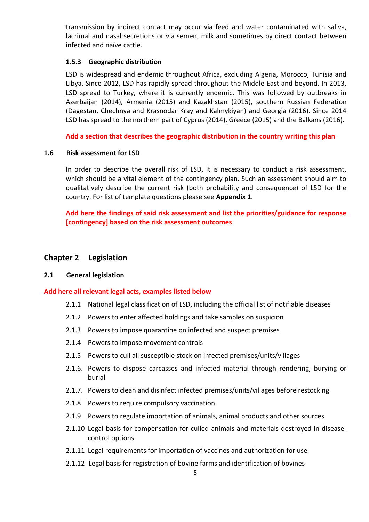transmission by indirect contact may occur via feed and water contaminated with saliva, lacrimal and nasal secretions or via semen, milk and sometimes by direct contact between infected and naïve cattle.

#### **1.5.3 Geographic distribution**

LSD is widespread and endemic throughout Africa, excluding Algeria, Morocco, Tunisia and Libya. Since 2012, LSD has rapidly spread throughout the Middle East and beyond. In 2013, LSD spread to Turkey, where it is currently endemic. This was followed by outbreaks in Azerbaijan (2014), Armenia (2015) and Kazakhstan (2015), southern Russian Federation (Dagestan, Chechnya and Krasnodar Kray and Kalmykiyan) and Georgia (2016). Since 2014 LSD has spread to the northern part of Cyprus (2014), Greece (2015) and the Balkans (2016).

**Add a section that describes the geographic distribution in the country writing this plan**

#### **1.6 Risk assessment for LSD**

In order to describe the overall risk of LSD, it is necessary to conduct a risk assessment, which should be a vital element of the contingency plan. Such an assessment should aim to qualitatively describe the current risk (both probability and consequence) of LSD for the country. For list of template questions please see **Appendix 1**.

**Add here the findings of said risk assessment and list the priorities/guidance for response [contingency] based on the risk assessment outcomes**

## **Chapter 2 Legislation**

#### **2.1 General legislation**

#### **Add here all relevant legal acts, examples listed below**

- 2.1.1 National legal classification of LSD, including the official list of notifiable diseases
- 2.1.2 Powers to enter affected holdings and take samples on suspicion
- 2.1.3 Powers to impose quarantine on infected and suspect premises
- 2.1.4 Powers to impose movement controls
- 2.1.5 Powers to cull all susceptible stock on infected premises/units/villages
- 2.1.6. Powers to dispose carcasses and infected material through rendering, burying or burial
- 2.1.7. Powers to clean and disinfect infected premises/units/villages before restocking
- 2.1.8 Powers to require compulsory vaccination
- 2.1.9 Powers to regulate importation of animals, animal products and other sources
- 2.1.10 Legal basis for compensation for culled animals and materials destroyed in diseasecontrol options
- 2.1.11 Legal requirements for importation of vaccines and authorization for use
- 2.1.12 Legal basis for registration of bovine farms and identification of bovines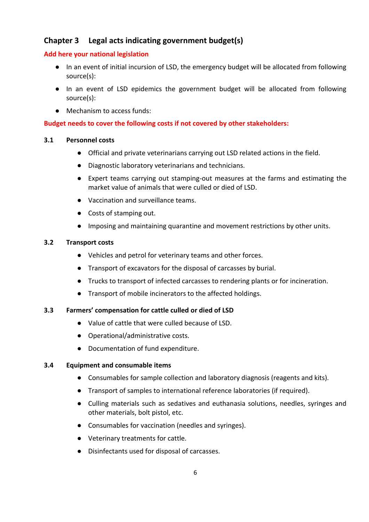## **Chapter 3 Legal acts indicating government budget(s)**

### **Add here your national legislation**

- In an event of initial incursion of LSD, the emergency budget will be allocated from following source(s):
- In an event of LSD epidemics the government budget will be allocated from following source(s):
- Mechanism to access funds:

## **Budget needs to cover the following costs if not covered by other stakeholders:**

#### **3.1 Personnel costs**

- Official and private veterinarians carrying out LSD related actions in the field.
- Diagnostic laboratory veterinarians and technicians.
- Expert teams carrying out stamping-out measures at the farms and estimating the market value of animals that were culled or died of LSD.
- Vaccination and surveillance teams.
- Costs of stamping out.
- Imposing and maintaining quarantine and movement restrictions by other units.

### **3.2 Transport costs**

- Vehicles and petrol for veterinary teams and other forces.
- Transport of excavators for the disposal of carcasses by burial.
- Trucks to transport of infected carcasses to rendering plants or for incineration.
- Transport of mobile incinerators to the affected holdings.

#### **3.3 Farmers' compensation for cattle culled or died of LSD**

- Value of cattle that were culled because of LSD.
- Operational/administrative costs.
- Documentation of fund expenditure.

#### **3.4 Equipment and consumable items**

- Consumables for sample collection and laboratory diagnosis (reagents and kits).
- Transport of samples to international reference laboratories (if required).
- Culling materials such as sedatives and euthanasia solutions, needles, syringes and other materials, bolt pistol, etc.
- Consumables for vaccination (needles and syringes).
- Veterinary treatments for cattle.
- Disinfectants used for disposal of carcasses.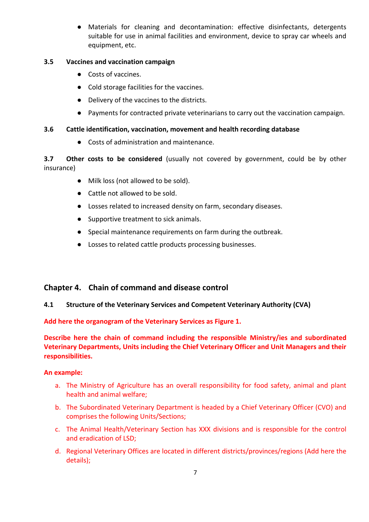● Materials for cleaning and decontamination: effective disinfectants, detergents suitable for use in animal facilities and environment, device to spray car wheels and equipment, etc.

## **3.5 Vaccines and vaccination campaign**

- Costs of vaccines.
- Cold storage facilities for the vaccines.
- Delivery of the vaccines to the districts.
- Payments for contracted private veterinarians to carry out the vaccination campaign.

### **3.6 Cattle identification, vaccination, movement and health recording database**

● Costs of administration and maintenance.

**3.7 Other costs to be considered** (usually not covered by government, could be by other insurance)

- Milk loss (not allowed to be sold).
- Cattle not allowed to be sold.
- Losses related to increased density on farm, secondary diseases.
- Supportive treatment to sick animals.
- Special maintenance requirements on farm during the outbreak.
- Losses to related cattle products processing businesses.

## **Chapter 4. Chain of command and disease control**

#### **4.1 Structure of the Veterinary Services and Competent Veterinary Authority (CVA)**

**Add here the organogram of the Veterinary Services as Figure 1.** 

**Describe here the chain of command including the responsible Ministry/ies and subordinated Veterinary Departments, Units including the Chief Veterinary Officer and Unit Managers and their responsibilities.**

#### **An example:**

- a. The Ministry of Agriculture has an overall responsibility for food safety, animal and plant health and animal welfare;
- b. The Subordinated Veterinary Department is headed by a Chief Veterinary Officer (CVO) and comprises the following Units/Sections;
- c. The Animal Health/Veterinary Section has XXX divisions and is responsible for the control and eradication of LSD;
- d. Regional Veterinary Offices are located in different districts/provinces/regions (Add here the details);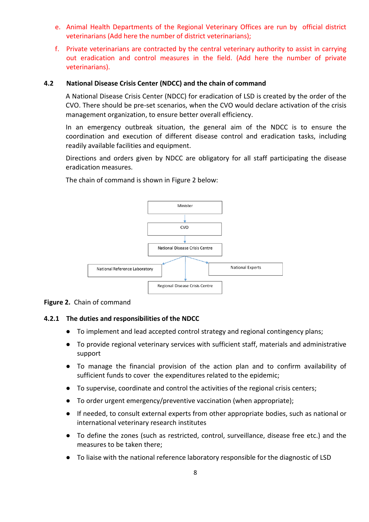- e. Animal Health Departments of the Regional Veterinary Offices are run by official district veterinarians (Add here the number of district veterinarians);
- f. Private veterinarians are contracted by the central veterinary authority to assist in carrying out eradication and control measures in the field. (Add here the number of private veterinarians).

#### **4.2 National Disease Crisis Center (NDCC) and the chain of command**

A National Disease Crisis Center (NDCC) for eradication of LSD is created by the order of the CVO. There should be pre-set scenarios, when the CVO would declare activation of the crisis management organization, to ensure better overall efficiency.

In an emergency outbreak situation, the general aim of the NDCC is to ensure the coordination and execution of different disease control and eradication tasks, including readily available facilities and equipment.

Directions and orders given by NDCC are obligatory for all staff participating the disease eradication measures.

The chain of command is shown in Figure 2 below:



#### **Figure 2.** Chain of command

#### **4.2.1 The duties and responsibilities of the NDCC**

- To implement and lead accepted control strategy and regional contingency plans;
- To provide regional veterinary services with sufficient staff, materials and administrative support
- To manage the financial provision of the action plan and to confirm availability of sufficient funds to cover the expenditures related to the epidemic;
- To supervise, coordinate and control the activities of the regional crisis centers;
- To order urgent emergency/preventive vaccination (when appropriate);
- If needed, to consult external experts from other appropriate bodies, such as national or international veterinary research institutes
- To define the zones (such as restricted, control, surveillance, disease free etc.) and the measures to be taken there;
- To liaise with the national reference laboratory responsible for the diagnostic of LSD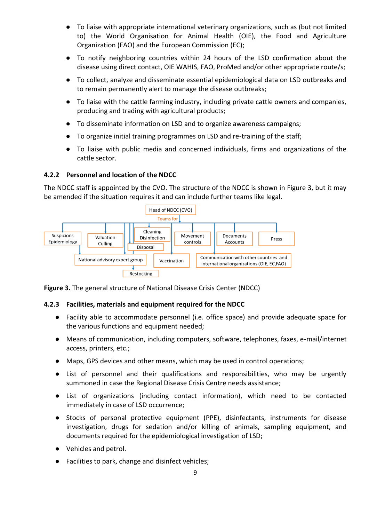- To liaise with appropriate international veterinary organizations, such as (but not limited to) the World Organisation for Animal Health (OIE), the Food and Agriculture Organization (FAO) and the European Commission (EC);
- To notify neighboring countries within 24 hours of the LSD confirmation about the disease using direct contact, OIE WAHIS, FAO, ProMed and/or other appropriate route/s;
- To collect, analyze and disseminate essential epidemiological data on LSD outbreaks and to remain permanently alert to manage the disease outbreaks;
- To liaise with the cattle farming industry, including private cattle owners and companies, producing and trading with agricultural products;
- To disseminate information on LSD and to organize awareness campaigns;
- To organize initial training programmes on LSD and re-training of the staff;
- To liaise with public media and concerned individuals, firms and organizations of the cattle sector.

### **4.2.2 Personnel and location of the NDCC**

The NDCC staff is appointed by the CVO. The structure of the NDCC is shown in Figure 3, but it may be amended if the situation requires it and can include further teams like legal.



**Figure 3.** The general structure of National Disease Crisis Center (NDCC)

#### **4.2.3 Facilities, materials and equipment required for the NDCC**

- Facility able to accommodate personnel (i.e. office space) and provide adequate space for the various functions and equipment needed;
- Means of communication, including computers, software, telephones, faxes, e-mail/internet access, printers, etc.;
- Maps, GPS devices and other means, which may be used in control operations;
- List of personnel and their qualifications and responsibilities, who may be urgently summoned in case the Regional Disease Crisis Centre needs assistance;
- List of organizations (including contact information), which need to be contacted immediately in case of LSD occurrence;
- Stocks of personal protective equipment (PPE), disinfectants, instruments for disease investigation, drugs for sedation and/or killing of animals, sampling equipment, and documents required for the epidemiological investigation of LSD;
- Vehicles and petrol.
- Facilities to park, change and disinfect vehicles;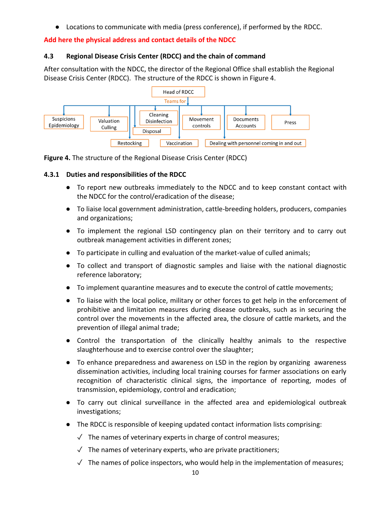● Locations to communicate with media (press conference), if performed by the RDCC.

## **Add here the physical address and contact details of the NDCC**

### **4.3 Regional Disease Crisis Center (RDCC) and the chain of command**

After consultation with the NDCC, the director of the Regional Office shall establish the Regional Disease Crisis Center (RDCC). The structure of the RDCC is shown in Figure 4.





### **4.3.1 Duties and responsibilities of the RDCC**

- To report new outbreaks immediately to the NDCC and to keep constant contact with the NDCC for the control/eradication of the disease;
- To liaise local government administration, cattle-breeding holders, producers, companies and organizations;
- To implement the regional LSD contingency plan on their territory and to carry out outbreak management activities in different zones;
- To participate in culling and evaluation of the market-value of culled animals;
- To collect and transport of diagnostic samples and liaise with the national diagnostic reference laboratory;
- To implement quarantine measures and to execute the control of cattle movements;
- To liaise with the local police, military or other forces to get help in the enforcement of prohibitive and limitation measures during disease outbreaks, such as in securing the control over the movements in the affected area, the closure of cattle markets, and the prevention of illegal animal trade;
- Control the transportation of the clinically healthy animals to the respective slaughterhouse and to exercise control over the slaughter;
- To enhance preparedness and awareness on LSD in the region by organizing awareness dissemination activities, including local training courses for farmer associations on early recognition of characteristic clinical signs, the importance of reporting, modes of transmission, epidemiology, control and eradication;
- To carry out clinical surveillance in the affected area and epidemiological outbreak investigations;
- The RDCC is responsible of keeping updated contact information lists comprising:
	- $\sqrt{ }$  The names of veterinary experts in charge of control measures;
	- $\sqrt{ }$  The names of veterinary experts, who are private practitioners;
	- $\sqrt{\phantom{a}}$  The names of police inspectors, who would help in the implementation of measures;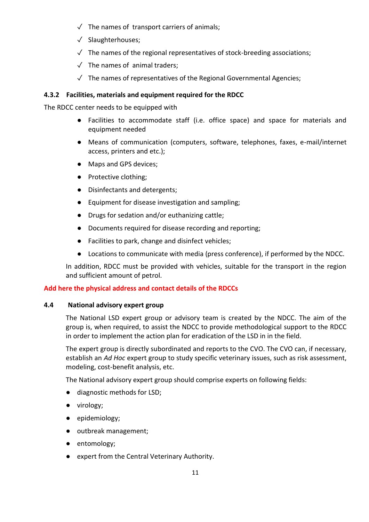- $\sqrt{ }$  The names of transport carriers of animals;
- ✓ Slaughterhouses;
- $\sqrt{\ }$  The names of the regional representatives of stock-breeding associations;
- $\sqrt{ }$  The names of animal traders;
- ✓ The names of representatives of the Regional Governmental Agencies;

### **4.3.2 Facilities, materials and equipment required for the RDCC**

The RDCC center needs to be equipped with

- Facilities to accommodate staff (i.e. office space) and space for materials and equipment needed
- Means of communication (computers, software, telephones, faxes, e-mail/internet access, printers and etc.);
- Maps and GPS devices;
- Protective clothing;
- Disinfectants and detergents;
- Equipment for disease investigation and sampling;
- Drugs for sedation and/or euthanizing cattle;
- Documents required for disease recording and reporting;
- Facilities to park, change and disinfect vehicles;
- Locations to communicate with media (press conference), if performed by the NDCC.

In addition, RDCC must be provided with vehicles, suitable for the transport in the region and sufficient amount of petrol.

#### **Add here the physical address and contact details of the RDCCs**

#### **4.4 National advisory expert group**

The National LSD expert group or advisory team is created by the NDCC. The aim of the group is, when required, to assist the NDCC to provide methodological support to the RDCC in order to implement the action plan for eradication of the LSD in in the field.

The expert group is directly subordinated and reports to the CVO. The CVO can, if necessary, establish an *Ad Hoc* expert group to study specific veterinary issues, such as risk assessment, modeling, cost-benefit analysis, etc.

The National advisory expert group should comprise experts on following fields:

- diagnostic methods for LSD;
- virology;
- epidemiology;
- outbreak management;
- entomology;
- expert from the Central Veterinary Authority.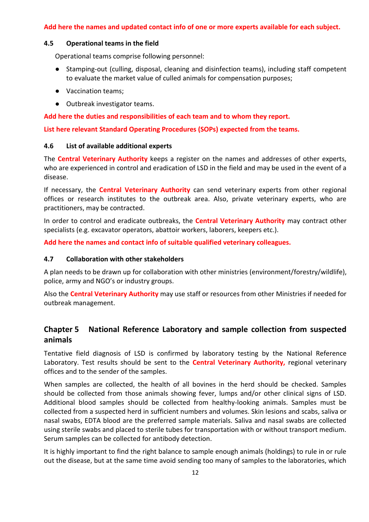### **Add here the names and updated contact info of one or more experts available for each subject.**

### **4.5 Operational teams in the field**

Operational teams comprise following personnel:

- Stamping-out (culling, disposal, cleaning and disinfection teams), including staff competent to evaluate the market value of culled animals for compensation purposes;
- Vaccination teams;
- Outbreak investigator teams.

**Add here the duties and responsibilities of each team and to whom they report.**

**List here relevant Standard Operating Procedures (SOPs) expected from the teams.**

#### **4.6 List of available additional experts**

The **Central Veterinary Authority** keeps a register on the names and addresses of other experts, who are experienced in control and eradication of LSD in the field and may be used in the event of a disease.

If necessary, the **Central Veterinary Authority** can send veterinary experts from other regional offices or research institutes to the outbreak area. Also, private veterinary experts, who are practitioners, may be contracted.

In order to control and eradicate outbreaks, the **Central Veterinary Authority** may contract other specialists (e.g. excavator operators, abattoir workers, laborers, keepers etc.).

**Add here the names and contact info of suitable qualified veterinary colleagues.** 

### **4.7 Collaboration with other stakeholders**

A plan needs to be drawn up for collaboration with other ministries (environment/forestry/wildlife), police, army and NGO's or industry groups.

Also the **Central Veterinary Authority** may use staff or resources from other Ministries if needed for outbreak management.

## **Chapter 5 National Reference Laboratory and sample collection from suspected animals**

Tentative field diagnosis of LSD is confirmed by laboratory testing by the National Reference Laboratory. Test results should be sent to the **Central Veterinary Authority,** regional veterinary offices and to the sender of the samples.

When samples are collected, the health of all bovines in the herd should be checked. Samples should be collected from those animals showing fever, lumps and/or other clinical signs of LSD. Additional blood samples should be collected from healthy-looking animals. Samples must be collected from a suspected herd in sufficient numbers and volumes. Skin lesions and scabs, saliva or nasal swabs, EDTA blood are the preferred sample materials. Saliva and nasal swabs are collected using sterile swabs and placed to sterile tubes for transportation with or without transport medium. Serum samples can be collected for antibody detection.

It is highly important to find the right balance to sample enough animals (holdings) to rule in or rule out the disease, but at the same time avoid sending too many of samples to the laboratories, which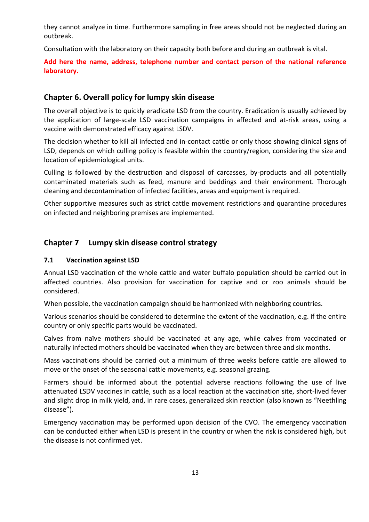they cannot analyze in time. Furthermore sampling in free areas should not be neglected during an outbreak.

Consultation with the laboratory on their capacity both before and during an outbreak is vital.

## **Add here the name, address, telephone number and contact person of the national reference laboratory.**

## **Chapter 6. Overall policy for lumpy skin disease**

The overall objective is to quickly eradicate LSD from the country. Eradication is usually achieved by the application of large-scale LSD vaccination campaigns in affected and at-risk areas, using a vaccine with demonstrated efficacy against LSDV.

The decision whether to kill all infected and in-contact cattle or only those showing clinical signs of LSD, depends on which culling policy is feasible within the country/region, considering the size and location of epidemiological units.

Culling is followed by the destruction and disposal of carcasses, by-products and all potentially contaminated materials such as feed, manure and beddings and their environment. Thorough cleaning and decontamination of infected facilities, areas and equipment is required.

Other supportive measures such as strict cattle movement restrictions and quarantine procedures on infected and neighboring premises are implemented.

## **Chapter 7 Lumpy skin disease control strategy**

## **7.1 Vaccination against LSD**

Annual LSD vaccination of the whole cattle and water buffalo population should be carried out in affected countries. Also provision for vaccination for captive and or zoo animals should be considered.

When possible, the vaccination campaign should be harmonized with neighboring countries.

Various scenarios should be considered to determine the extent of the vaccination, e.g. if the entire country or only specific parts would be vaccinated.

Calves from naïve mothers should be vaccinated at any age, while calves from vaccinated or naturally infected mothers should be vaccinated when they are between three and six months.

Mass vaccinations should be carried out a minimum of three weeks before cattle are allowed to move or the onset of the seasonal cattle movements, e.g. seasonal grazing.

Farmers should be informed about the potential adverse reactions following the use of live attenuated LSDV vaccines in cattle, such as a local reaction at the vaccination site, short-lived fever and slight drop in milk yield, and, in rare cases, generalized skin reaction (also known as "Neethling disease").

Emergency vaccination may be performed upon decision of the CVO. The emergency vaccination can be conducted either when LSD is present in the country or when the risk is considered high, but the disease is not confirmed yet.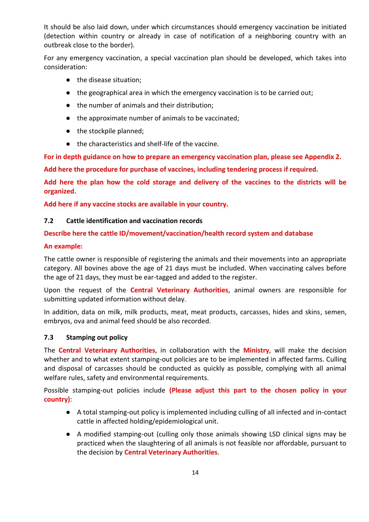It should be also laid down, under which circumstances should emergency vaccination be initiated (detection within country or already in case of notification of a neighboring country with an outbreak close to the border).

For any emergency vaccination, a special vaccination plan should be developed, which takes into consideration:

- the disease situation;
- the geographical area in which the emergency vaccination is to be carried out;
- the number of animals and their distribution;
- the approximate number of animals to be vaccinated;
- the stockpile planned;
- the characteristics and shelf-life of the vaccine.

**For in depth guidance on how to prepare an emergency vaccination plan, please see Appendix 2.**

**Add here the procedure for purchase of vaccines, including tendering process if required.**

**Add here the plan how the cold storage and delivery of the vaccines to the districts will be organized.**

**Add here if any vaccine stocks are available in your country.**

## **7.2 Cattle identification and vaccination records**

## **Describe here the cattle ID/movement/vaccination/health record system and database**

### **An example:**

The cattle owner is responsible of registering the animals and their movements into an appropriate category. All bovines above the age of 21 days must be included. When vaccinating calves before the age of 21 days, they must be ear-tagged and added to the register.

Upon the request of the **Central Veterinary Authorities**, animal owners are responsible for submitting updated information without delay.

In addition, data on milk, milk products, meat, meat products, carcasses, hides and skins, semen, embryos, ova and animal feed should be also recorded.

## **7.3 Stamping out policy**

The **Central Veterinary Authorities**, in collaboration with the **Ministry**, will make the decision whether and to what extent stamping-out policies are to be implemented in affected farms. Culling and disposal of carcasses should be conducted as quickly as possible, complying with all animal welfare rules, safety and environmental requirements.

Possible stamping-out policies include **(Please adjust this part to the chosen policy in your country)**:

- A total stamping-out policy is implemented including culling of all infected and in-contact cattle in affected holding/epidemiological unit.
- A modified stamping-out (culling only those animals showing LSD clinical signs may be practiced when the slaughtering of all animals is not feasible nor affordable, pursuant to the decision by **Central Veterinary Authorities**.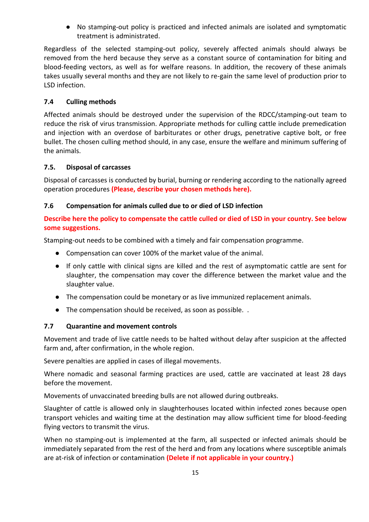● No stamping-out policy is practiced and infected animals are isolated and symptomatic treatment is administrated.

Regardless of the selected stamping-out policy, severely affected animals should always be removed from the herd because they serve as a constant source of contamination for biting and blood-feeding vectors, as well as for welfare reasons. In addition, the recovery of these animals takes usually several months and they are not likely to re-gain the same level of production prior to LSD infection.

## **7.4 Culling methods**

Affected animals should be destroyed under the supervision of the RDCC/stamping-out team to reduce the risk of virus transmission. Appropriate methods for culling cattle include premedication and injection with an overdose of barbiturates or other drugs, penetrative captive bolt, or free bullet. The chosen culling method should, in any case, ensure the welfare and minimum suffering of the animals.

## **7.5. Disposal of carcasses**

Disposal of carcasses is conducted by burial, burning or rendering according to the nationally agreed operation procedures **(Please, describe your chosen methods here).**

## **7.6 Compensation for animals culled due to or died of LSD infection**

**Describe here the policy to compensate the cattle culled or died of LSD in your country. See below some suggestions.** 

Stamping-out needs to be combined with a timely and fair compensation programme.

- Compensation can cover 100% of the market value of the animal.
- If only cattle with clinical signs are killed and the rest of asymptomatic cattle are sent for slaughter, the compensation may cover the difference between the market value and the slaughter value.
- The compensation could be monetary or as live immunized replacement animals.
- The compensation should be received, as soon as possible. .

## **7.7 Quarantine and movement controls**

Movement and trade of live cattle needs to be halted without delay after suspicion at the affected farm and, after confirmation, in the whole region.

Severe penalties are applied in cases of illegal movements.

Where nomadic and seasonal farming practices are used, cattle are vaccinated at least 28 days before the movement.

Movements of unvaccinated breeding bulls are not allowed during outbreaks.

Slaughter of cattle is allowed only in slaughterhouses located within infected zones because open transport vehicles and waiting time at the destination may allow sufficient time for blood-feeding flying vectors to transmit the virus.

When no stamping-out is implemented at the farm, all suspected or infected animals should be immediately separated from the rest of the herd and from any locations where susceptible animals are at-risk of infection or contamination **(Delete if not applicable in your country.)**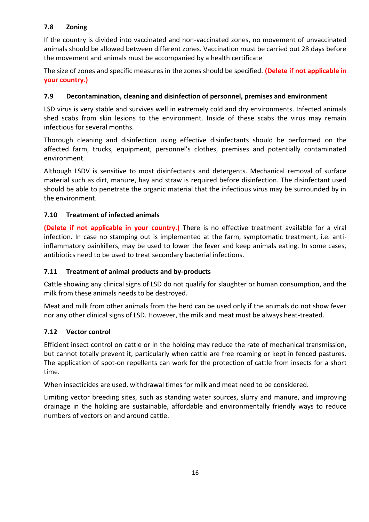## **7.8 Zoning**

If the country is divided into vaccinated and non-vaccinated zones, no movement of unvaccinated animals should be allowed between different zones. Vaccination must be carried out 28 days before the movement and animals must be accompanied by a health certificate

The size of zones and specific measures in the zones should be specified. **(Delete if not applicable in your country.)**

## **7.9 Decontamination, cleaning and disinfection of personnel, premises and environment**

LSD virus is very stable and survives well in extremely cold and dry environments. Infected animals shed scabs from skin lesions to the environment. Inside of these scabs the virus may remain infectious for several months.

Thorough cleaning and disinfection using effective disinfectants should be performed on the affected farm, trucks, equipment, personnel's clothes, premises and potentially contaminated environment.

Although LSDV is sensitive to most disinfectants and detergents. Mechanical removal of surface material such as dirt, manure, hay and straw is required before disinfection. The disinfectant used should be able to penetrate the organic material that the infectious virus may be surrounded by in the environment.

## **7.10 Treatment of infected animals**

**(Delete if not applicable in your country.)** There is no effective treatment available for a viral infection. In case no stamping out is implemented at the farm, symptomatic treatment, i.e. antiinflammatory painkillers, may be used to lower the fever and keep animals eating. In some cases, antibiotics need to be used to treat secondary bacterial infections.

## **7.11 Treatment of animal products and by-products**

Cattle showing any clinical signs of LSD do not qualify for slaughter or human consumption, and the milk from these animals needs to be destroyed.

Meat and milk from other animals from the herd can be used only if the animals do not show fever nor any other clinical signs of LSD. However, the milk and meat must be always heat-treated.

## **7.12 Vector control**

Efficient insect control on cattle or in the holding may reduce the rate of mechanical transmission, but cannot totally prevent it, particularly when cattle are free roaming or kept in fenced pastures. The application of spot-on repellents can work for the protection of cattle from insects for a short time.

When insecticides are used, withdrawal times for milk and meat need to be considered.

Limiting vector breeding sites, such as standing water sources, slurry and manure, and improving drainage in the holding are sustainable, affordable and environmentally friendly ways to reduce numbers of vectors on and around cattle.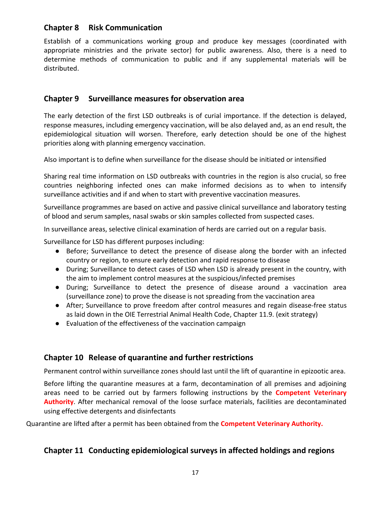## **Chapter 8 Risk Communication**

Establish of a communications working group and produce key messages (coordinated with appropriate ministries and the private sector) for public awareness. Also, there is a need to determine methods of communication to public and if any supplemental materials will be distributed.

## **Chapter 9 Surveillance measures for observation area**

The early detection of the first LSD outbreaks is of curial importance. If the detection is delayed, response measures, including emergency vaccination, will be also delayed and, as an end result, the epidemiological situation will worsen. Therefore, early detection should be one of the highest priorities along with planning emergency vaccination.

Also important is to define when surveillance for the disease should be initiated or intensified

Sharing real time information on LSD outbreaks with countries in the region is also crucial, so free countries neighboring infected ones can make informed decisions as to when to intensify surveillance activities and if and when to start with preventive vaccination measures.

Surveillance programmes are based on active and passive clinical surveillance and laboratory testing of blood and serum samples, nasal swabs or skin samples collected from suspected cases.

In surveillance areas, selective clinical examination of herds are carried out on a regular basis.

Surveillance for LSD has different purposes including:

- Before; Surveillance to detect the presence of disease along the border with an infected country or region, to ensure early detection and rapid response to disease
- During; Surveillance to detect cases of LSD when LSD is already present in the country, with the aim to implement control measures at the suspicious/infected premises
- During; Surveillance to detect the presence of disease around a vaccination area (surveillance zone) to prove the disease is not spreading from the vaccination area
- After; Surveillance to prove freedom after control measures and regain disease-free status as laid down in the OIE Terrestrial Animal Health Code, Chapter 11.9. (exit strategy)
- Evaluation of the effectiveness of the vaccination campaign

## **Chapter 10 Release of quarantine and further restrictions**

Permanent control within surveillance zones should last until the lift of quarantine in epizootic area.

Before lifting the quarantine measures at a farm, decontamination of all premises and adjoining areas need to be carried out by farmers following instructions by the **Competent Veterinary Authority**. After mechanical removal of the loose surface materials, facilities are decontaminated using effective detergents and disinfectants

Quarantine are lifted after a permit has been obtained from the **Competent Veterinary Authority.**

## **Chapter 11 Conducting epidemiological surveys in affected holdings and regions**